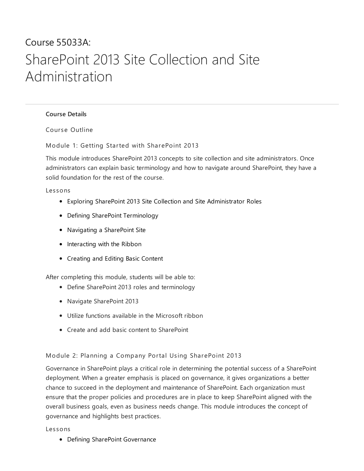# Course 55033A: SharePoint 2013 Site Collection and Site Administration

## [Course](#page-0-0) Details

<span id="page-0-0"></span>Course Outline

Module 1: Getting Started with SharePoint 2013

This module introduces SharePoint 2013 concepts to site collection and site administrators. Once administrators can explain basic terminology and how to navigate around SharePoint, they have a solid foundation for the rest of the course.

Les sons

- Exploring SharePoint 2013 Site Collection and Site Administrator Roles
- Defining SharePoint Terminology
- Navigating a SharePoint Site
- Interacting with the Ribbon
- Creating and Editing Basic Content

After completing this module, students will be able to:

- Define SharePoint 2013 roles and terminology
- Navigate SharePoint 2013
- Utilize functions available in the Microsoft ribbon
- Create and add basic content to SharePoint

#### Module 2: Planning a Company Portal Using SharePoint 2013

Governance in SharePoint plays a critical role in determining the potential success of a SharePoint deployment. When a greater emphasis is placed on governance, it gives organizations a better chance to succeed in the deployment and maintenance of SharePoint. Each organization must ensure that the proper policies and procedures are in place to keep SharePoint aligned with the overall business goals, even as business needs change. This module introduces the concept of governance and highlights best practices.

#### Les sons

Defining SharePoint Governance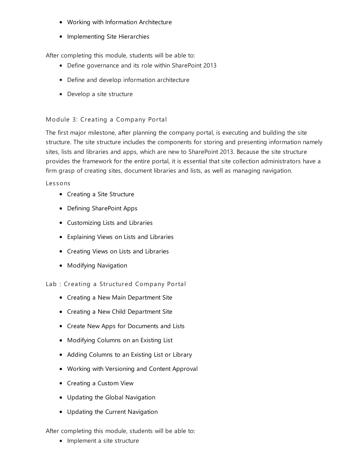- Working with Information Architecture
- Implementing Site Hierarchies

After completing this module, students will be able to:

- Define governance and its role within SharePoint 2013
- Define and develop information architecture
- Develop a site structure

## Module 3: Creating a Company Portal

The first major milestone, after planning the company portal, is executing and building the site structure. The site structure includes the components for storing and presenting information namely sites, lists and libraries and apps, which are new to SharePoint 2013. Because the site structure provides the framework for the entire portal, it is essential that site collection administrators have a firm grasp of creating sites, document libraries and lists, as well as managing navigation.

#### Les sons

- Creating a Site Structure
- Defining SharePoint Apps
- Customizing Lists and Libraries
- Explaining Views on Lists and Libraries
- Creating Views on Lists and Libraries
- **•** Modifying Navigation
- Lab : Creating a Structured Company Portal
	- Creating a New Main Department Site
	- Creating a New Child Department Site
	- Create New Apps for Documents and Lists
	- Modifying Columns on an Existing List
	- Adding Columns to an Existing List or Library
	- Working with Versioning and Content Approval
	- Creating a Custom View
	- Updating the Global Navigation
	- Updating the Current Navigation

After completing this module, students will be able to:

• Implement a site structure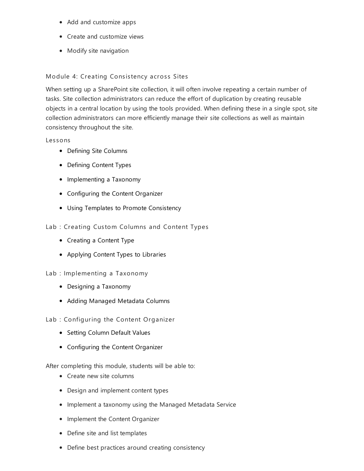- Add and customize apps
- Create and customize views
- Modify site navigation

### Module 4: Creating Consistency across Sites

When setting up a SharePoint site collection, it will often involve repeating a certain number of tasks. Site collection administrators can reduce the effort of duplication by creating reusable objects in a central location by using the tools provided. When defining these in a single spot, site collection administrators can more efficiently manage their site collections as well as maintain consistency throughout the site.

#### Les sons

- Defining Site Columns
- Defining Content Types
- Implementing a Taxonomy
- Configuring the Content Organizer
- Using Templates to Promote Consistency
- Lab : Creating Custom Columns and Content Types
	- Creating a Content Type
	- Applying Content Types to Libraries

#### Lab : Implementing a Taxonomy

- Designing a Taxonomy
- Adding Managed Metadata Columns

#### Lab : Configuring the Content Organizer

- Setting Column Default Values
- Configuring the Content Organizer

After completing this module, students will be able to:

- Create new site columns
- Design and implement content types
- Implement a taxonomy using the Managed Metadata Service
- Implement the Content Organizer
- Define site and list templates
- Define best practices around creating consistency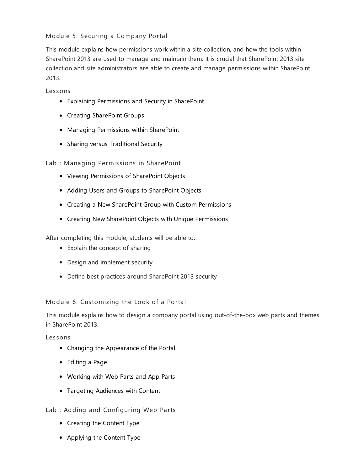## Module 5: Securing a Company Portal

This module explains how permissions work within a site collection, and how the tools within SharePoint 2013 are used to manage and maintain them. It is crucial that SharePoint 2013 site collection and site administrators are able to create and manage permissions within SharePoint 2013.

Les sons

- Explaining Permissions and Security in SharePoint
- Creating SharePoint Groups
- Managing Permissions within SharePoint
- Sharing versus Traditional Security

Lab : Managing Permissions in SharePoint

- Viewing Permissions of SharePoint Objects
- Adding Users and Groups to SharePoint Objects
- Creating a New SharePoint Group with Custom Permissions
- Creating New SharePoint Objects with Unique Permissions

After completing this module, students will be able to:

- Explain the concept of sharing
- Design and implement security
- Define best practices around SharePoint 2013 security

Module 6: Customizing the Look of a Portal

This module explains how to design a company portal using out-of-the-box web parts and themes in SharePoint 2013.

Les sons

- Changing the Appearance of the Portal
- Editing a Page
- Working with Web Parts and App Parts
- Targeting Audiences with Content
- Lab : Adding and Configuring Web Parts
	- Creating the Content Type
	- Applying the Content Type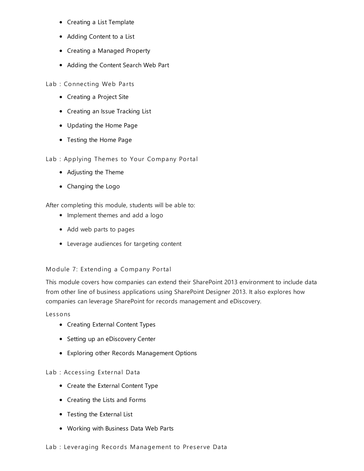- Creating a List Template
- Adding Content to a List
- Creating a Managed Property
- Adding the Content Search Web Part

Lab : Connecting Web Parts

- Creating a Project Site
- Creating an Issue Tracking List
- Updating the Home Page
- Testing the Home Page

Lab : Applying Themes to Your Company Portal

- Adjusting the Theme
- Changing the Logo

After completing this module, students will be able to:

- Implement themes and add a logo
- Add web parts to pages
- Leverage audiences for targeting content

## Module 7: Extending a Company Portal

This module covers how companies can extend their SharePoint 2013 environment to include data from other line of business applications using SharePoint Designer 2013. It also explores how companies can leverage SharePoint for records management and eDiscovery.

Les sons

- Creating External Content Types
- Setting up an eDiscovery Center
- Exploring other Records Management Options

## Lab : Accessing External Data

- Create the External Content Type
- Creating the Lists and Forms
- Testing the External List
- Working with Business Data Web Parts
- Lab : Leveraging Records Management to Preserve Data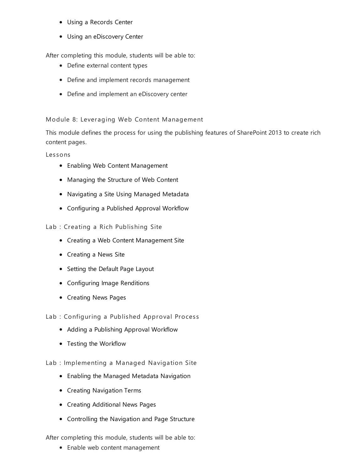- Using a Records Center
- Using an eDiscovery Center

After completing this module, students will be able to:

- Define external content types
- Define and implement records management
- Define and implement an eDiscovery center

## Module 8: Leveraging Web Content Management

This module defines the process for using the publishing features of SharePoint 2013 to create rich content pages.

Les sons

- Enabling Web Content Management
- Managing the Structure of Web Content
- Navigating a Site Using Managed Metadata
- Configuring a Published Approval Workflow

## Lab : Creating a Rich Publishing Site

- Creating a Web Content Management Site
- Creating a News Site
- Setting the Default Page Layout
- Configuring Image Renditions
- Creating News Pages
- Lab : Configuring a Published Approval Process
	- Adding a Publishing Approval Workflow
	- Testing the Workflow

Lab : Implementing a Managed Navigation Site

- Enabling the Managed Metadata Navigation
- Creating Navigation Terms
- Creating Additional News Pages
- Controlling the Navigation and Page Structure

After completing this module, students will be able to:

Enable web content management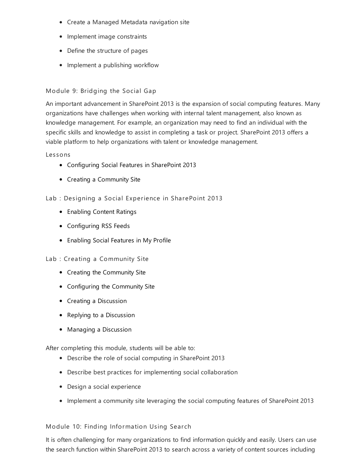- Create a Managed Metadata navigation site
- Implement image constraints
- Define the structure of pages
- Implement a publishing workflow

## Module 9: Bridging the Social Gap

An important advancement in SharePoint 2013 is the expansion of social computing features. Many organizations have challenges when working with internal talent management, also known as knowledge management. For example, an organization may need to find an individual with the specific skills and knowledge to assist in completing a task or project. SharePoint 2013 offers a viable platform to help organizations with talent or knowledge management.

#### Les sons

- Configuring Social Features in SharePoint 2013
- Creating a Community Site
- Lab : Designing a Social Experience in SharePoint 2013
	- Enabling Content Ratings
	- Configuring RSS Feeds
	- Enabling Social Features in My Profile

#### Lab : Creating a Community Site

- Creating the Community Site
- Configuring the Community Site
- Creating a Discussion
- Replying to a Discussion
- Managing a Discussion

After completing this module, students will be able to:

- Describe the role of social computing in SharePoint 2013
- Describe best practices for implementing social collaboration
- Design a social experience
- Implement a community site leveraging the social computing features of SharePoint 2013

#### Module 10: Finding Information Using Search

It is often challenging for many organizations to find information quickly and easily. Users can use the search function within SharePoint 2013 to search across a variety of content sources including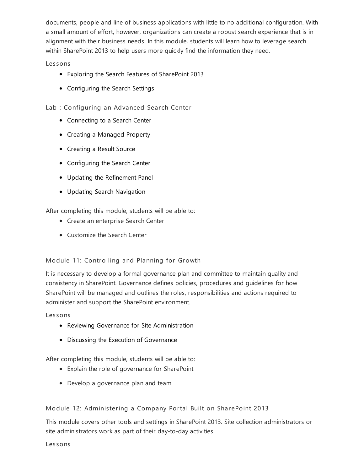documents, people and line of business applications with little to no additional configuration. With a small amount of effort, however, organizations can create a robust search experience that is in alignment with their business needs. In this module, students will learn how to leverage search within SharePoint 2013 to help users more quickly find the information they need.

Les sons

- Exploring the Search Features of SharePoint 2013
- Configuring the Search Settings

Lab : Configuring an Advanced Search Center

- Connecting to a Search Center
- Creating a Managed Property
- Creating a Result Source
- Configuring the Search Center
- Updating the Refinement Panel
- Updating Search Navigation

After completing this module, students will be able to:

- Create an enterprise Search Center
- Customize the Search Center

## Module 11: Controlling and Planning for Growth

It is necessary to develop a formal governance plan and committee to maintain quality and consistency in SharePoint. Governance defines policies, procedures and guidelines for how SharePoint will be managed and outlines the roles, responsibilities and actions required to administer and support the SharePoint environment.

Les sons

- Reviewing Governance for Site Administration
- Discussing the Execution of Governance

After completing this module, students will be able to:

- Explain the role of governance for SharePoint
- Develop a governance plan and team

## Module 12: Administering a Company Portal Built on SharePoint 2013

This module covers other tools and settings in SharePoint 2013. Site collection administrators or site administrators work as part of their day-to-day activities.

Les sons